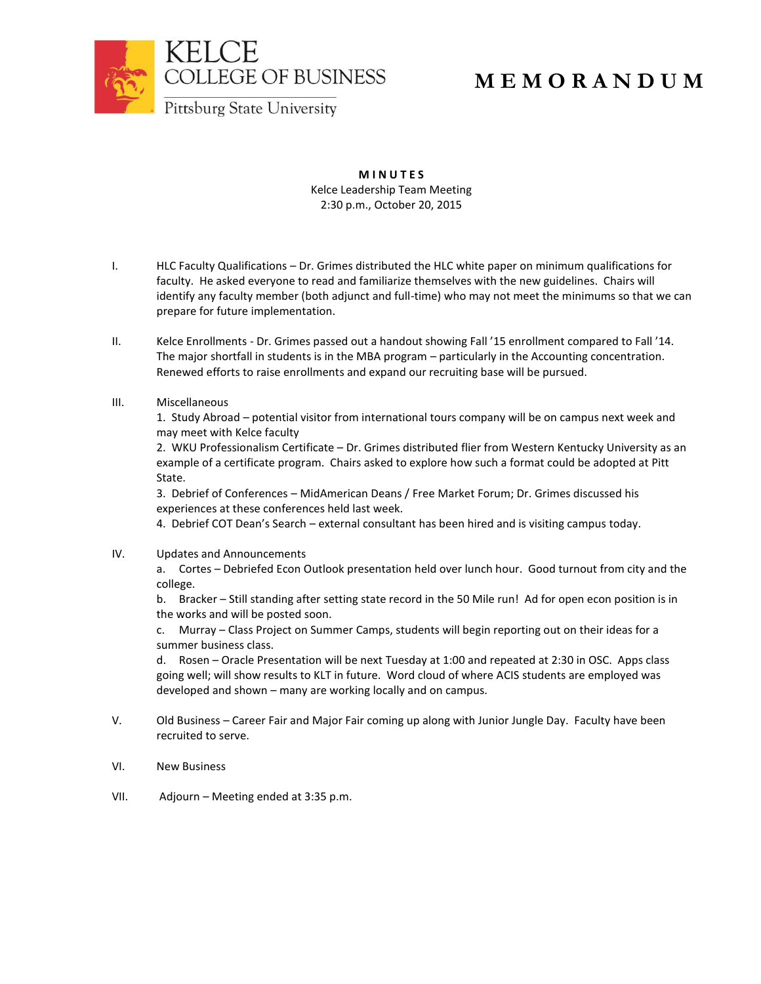

## **M E M O R A N D U M**

**M I N U T E S** Kelce Leadership Team Meeting 2:30 p.m., October 20, 2015

- I. HLC Faculty Qualifications Dr. Grimes distributed the HLC white paper on minimum qualifications for faculty. He asked everyone to read and familiarize themselves with the new guidelines. Chairs will identify any faculty member (both adjunct and full-time) who may not meet the minimums so that we can prepare for future implementation.
- II. Kelce Enrollments Dr. Grimes passed out a handout showing Fall '15 enrollment compared to Fall '14. The major shortfall in students is in the MBA program – particularly in the Accounting concentration. Renewed efforts to raise enrollments and expand our recruiting base will be pursued.
- III. Miscellaneous

1. Study Abroad – potential visitor from international tours company will be on campus next week and may meet with Kelce faculty

2. WKU Professionalism Certificate – Dr. Grimes distributed flier from Western Kentucky University as an example of a certificate program. Chairs asked to explore how such a format could be adopted at Pitt State.

3. Debrief of Conferences – MidAmerican Deans / Free Market Forum; Dr. Grimes discussed his experiences at these conferences held last week.

4. Debrief COT Dean's Search – external consultant has been hired and is visiting campus today.

IV. Updates and Announcements

a. Cortes – Debriefed Econ Outlook presentation held over lunch hour. Good turnout from city and the college.

b. Bracker – Still standing after setting state record in the 50 Mile run! Ad for open econ position is in the works and will be posted soon.

c. Murray – Class Project on Summer Camps, students will begin reporting out on their ideas for a summer business class.

d. Rosen – Oracle Presentation will be next Tuesday at 1:00 and repeated at 2:30 in OSC. Apps class going well; will show results to KLT in future. Word cloud of where ACIS students are employed was developed and shown – many are working locally and on campus.

- V. Old Business Career Fair and Major Fair coming up along with Junior Jungle Day. Faculty have been recruited to serve.
- VI. New Business
- VII. Adjourn Meeting ended at 3:35 p.m.